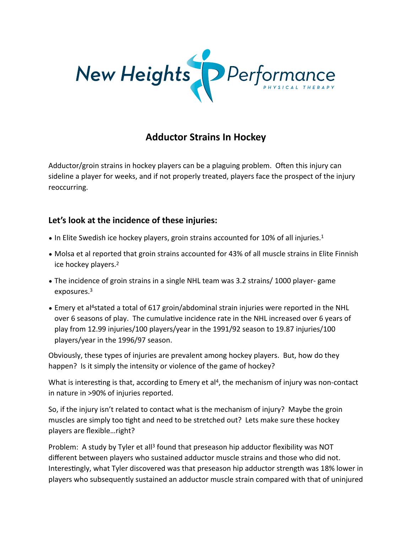

## **Adductor Strains In Hockey**

Adductor/groin strains in hockey players can be a plaguing problem. Often this injury can sideline a player for weeks, and if not properly treated, players face the prospect of the injury reoccurring.

## Let's look at the incidence of these injuries:

- In Elite Swedish ice hockey players, groin strains accounted for 10% of all injuries.<sup>1</sup>
- Molsa et al reported that groin strains accounted for 43% of all muscle strains in Elite Finnish ice hockey players.<sup>2</sup>
- The incidence of groin strains in a single NHL team was 3.2 strains/1000 player-game exposures.3
- Emery et al<sup>4</sup>stated a total of 617 groin/abdominal strain injuries were reported in the NHL over 6 seasons of play. The cumulative incidence rate in the NHL increased over 6 years of play from 12.99 injuries/100 players/year in the 1991/92 season to 19.87 injuries/100 players/year in the 1996/97 season.

Obviously, these types of injuries are prevalent among hockey players. But, how do they happen? Is it simply the intensity or violence of the game of hockey?

What is interesting is that, according to Emery et al<sup>4</sup>, the mechanism of injury was non-contact in nature in >90% of injuries reported.

So, if the injury isn't related to contact what is the mechanism of injury? Maybe the groin muscles are simply too tight and need to be stretched out? Lets make sure these hockey players are flexible…right?

Problem: A study by Tyler et all<sup>3</sup> found that preseason hip adductor flexibility was NOT different between,players who, sustained adductor, muscle, strains, and those who,did,not. Interestingly, what Tyler discovered was that preseason hip adductor strength was 18% lower in players who subsequently sustained an adductor muscle strain compared with that of uninjured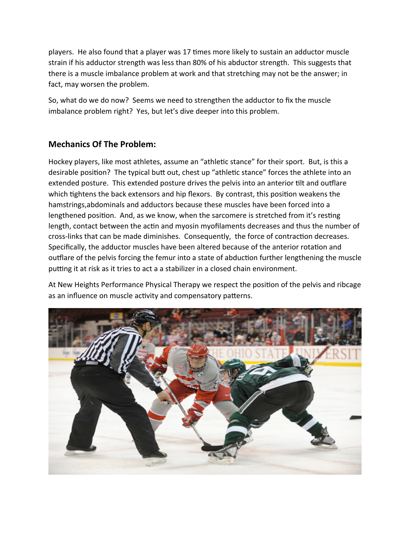players. He also found that a player was 17 times more likely to sustain an adductor muscle strain if his adductor strength was less than 80% of his abductor strength. This suggests that there is a muscle imbalance problem at work and that stretching may not be the answer; in fact, may worsen the problem.

So, what do we do now? Seems we need to strengthen the adductor to fix the muscle imbalance problem right? Yes, but let's dive deeper into this problem.

## **Mechanics Of The Problem:**

Hockey players, like most athletes, assume an "athletic stance" for their sport. But, is this a desirable position? The typical butt out, chest up "athletic stance" forces the athlete into an extended posture. This extended posture drives the pelvis into an anterior tilt and outflare which tightens the back extensors and hip flexors. By contrast, this position weakens the hamstrings,abdominals and adductors because these muscles have been forced into a lengthened position. And, as we know, when the sarcomere is stretched from it's resting length, contact between the actin and myosin myofilaments decreases and thus the number of cross-links that can be made diminishes. Consequently, the force of contraction decreases. Specifically, the adductor muscles have been altered because of the anterior rotation and outflare of the pelvis forcing the femur into a state of abduction further lengthening the muscle putting it at risk as it tries to act a a stabilizer in a closed chain environment.

At New Heights Performance Physical Therapy we respect the position of the pelvis and ribcage as an influence on muscle activity and compensatory patterns.